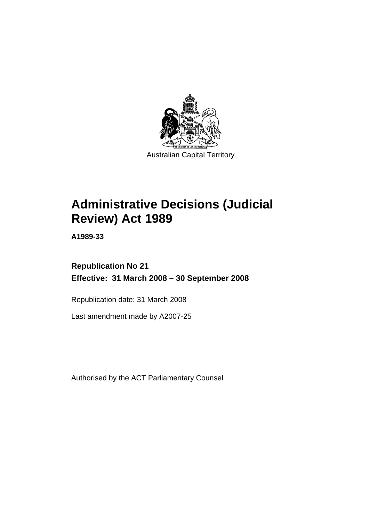

# **[Administrative Decisions \(Judicial](#page-4-0)  [Review\) Act 1989](#page-4-0)**

**A1989-33** 

**Republication No 21 Effective: 31 March 2008 – 30 September 2008** 

Republication date: 31 March 2008

Last amendment made by A2007-25

Authorised by the ACT Parliamentary Counsel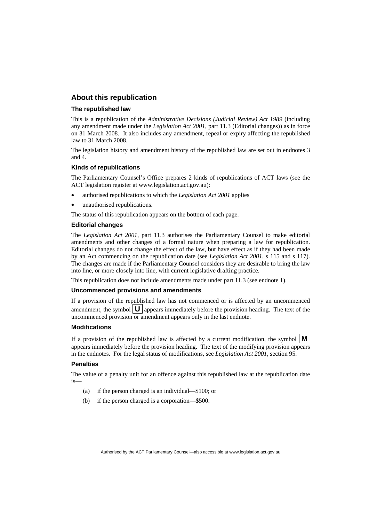# **About this republication**

#### **The republished law**

This is a republication of the *Administrative Decisions (Judicial Review) Act 1989* (including any amendment made under the *Legislation Act 2001*, part 11.3 (Editorial changes)) as in force on 31 March 2008*.* It also includes any amendment, repeal or expiry affecting the republished law to 31 March 2008.

The legislation history and amendment history of the republished law are set out in endnotes 3 and 4.

#### **Kinds of republications**

The Parliamentary Counsel's Office prepares 2 kinds of republications of ACT laws (see the ACT legislation register at www.legislation.act.gov.au):

- authorised republications to which the *Legislation Act 2001* applies
- unauthorised republications.

The status of this republication appears on the bottom of each page.

#### **Editorial changes**

The *Legislation Act 2001*, part 11.3 authorises the Parliamentary Counsel to make editorial amendments and other changes of a formal nature when preparing a law for republication. Editorial changes do not change the effect of the law, but have effect as if they had been made by an Act commencing on the republication date (see *Legislation Act 2001*, s 115 and s 117). The changes are made if the Parliamentary Counsel considers they are desirable to bring the law into line, or more closely into line, with current legislative drafting practice.

This republication does not include amendments made under part 11.3 (see endnote 1).

#### **Uncommenced provisions and amendments**

If a provision of the republished law has not commenced or is affected by an uncommenced amendment, the symbol  $\mathbf{U}$  appears immediately before the provision heading. The text of the uncommenced provision  $\overline{or}$  amendment appears only in the last endnote.

#### **Modifications**

If a provision of the republished law is affected by a current modification, the symbol  $\mathbf{M}$ appears immediately before the provision heading. The text of the modifying provision appears in the endnotes. For the legal status of modifications, see *Legislation Act 2001*, section 95.

#### **Penalties**

The value of a penalty unit for an offence against this republished law at the republication date is—

- (a) if the person charged is an individual—\$100; or
- (b) if the person charged is a corporation—\$500.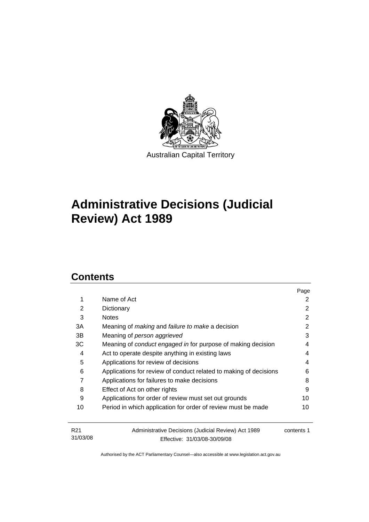

# **[Administrative Decisions \(Judicial](#page-4-0)  [Review\) Act 1989](#page-4-0)**

# **Contents**

31/03/08

|                 |                                                                   | Page       |
|-----------------|-------------------------------------------------------------------|------------|
| 1               | Name of Act                                                       | 2          |
| 2               | Dictionary                                                        | 2          |
| 3               | <b>Notes</b>                                                      | 2          |
| 3A              | Meaning of <i>making</i> and <i>failure to make</i> a decision    | 2          |
| 3B              | Meaning of person aggrieved                                       | 3          |
| ЗC              | Meaning of conduct engaged in for purpose of making decision      | 4          |
| 4               | Act to operate despite anything in existing laws                  | 4          |
| 5               | Applications for review of decisions                              | 4          |
| 6               | Applications for review of conduct related to making of decisions | 6          |
| 7               | Applications for failures to make decisions                       | 8          |
| 8               | Effect of Act on other rights                                     | 9          |
| 9               | Applications for order of review must set out grounds             | 10         |
| 10              | Period in which application for order of review must be made      | 10         |
| R <sub>21</sub> | Administrative Decisions (Judicial Review) Act 1989               | contents 1 |

Authorised by the ACT Parliamentary Counsel—also accessible at www.legislation.act.gov.au

Effective: 31/03/08-30/09/08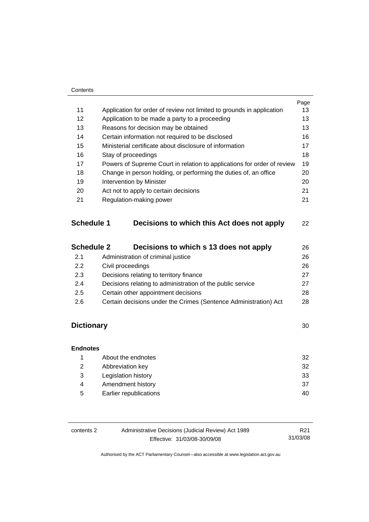#### **Contents**

|    |                                                                         | Page |
|----|-------------------------------------------------------------------------|------|
| 11 | Application for order of review not limited to grounds in application   | 13   |
| 12 | Application to be made a party to a proceeding                          | 13   |
| 13 | Reasons for decision may be obtained                                    | 13   |
| 14 | Certain information not required to be disclosed                        | 16   |
| 15 | Ministerial certificate about disclosure of information                 | 17   |
| 16 | Stay of proceedings                                                     | 18   |
| 17 | Powers of Supreme Court in relation to applications for order of review | 19   |
| 18 | Change in person holding, or performing the duties of, an office        | 20   |
| 19 | Intervention by Minister                                                | 20   |
| 20 | Act not to apply to certain decisions                                   | 21   |
| 21 | Regulation-making power                                                 | 21   |
|    |                                                                         |      |
|    |                                                                         |      |

# **Schedule 1 Decisions to which this Act does not apply** [22](#page-25-0)

| <b>Schedule 2</b> | Decisions to which s 13 does not apply                           | 26 |
|-------------------|------------------------------------------------------------------|----|
| 2.1               | Administration of criminal justice                               | 26 |
| 2.2               | Civil proceedings                                                | 26 |
| 2.3               | Decisions relating to territory finance                          | 27 |
| 2.4               | Decisions relating to administration of the public service       | 27 |
| 2.5               | Certain other appointment decisions                              | 28 |
| 2.6               | Certain decisions under the Crimes (Sentence Administration) Act | 28 |

# **Dictionary** [30](#page-33-0)

| <b>Endnotes</b> |                        |    |
|-----------------|------------------------|----|
|                 | About the endnotes     | 32 |
| 2               | Abbreviation key       | 32 |
| 3               | Legislation history    | 33 |
| 4               | Amendment history      | 37 |
| 5               | Earlier republications | 40 |

| contents 2 | Administrative Decisions (Judicial Review) Act 1989 | R21      |
|------------|-----------------------------------------------------|----------|
|            | Effective: 31/03/08-30/09/08                        | 31/03/08 |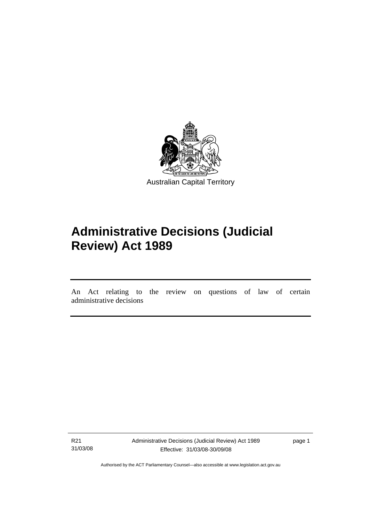<span id="page-4-0"></span>

# **Administrative Decisions (Judicial Review) Act 1989**

An Act relating to the review on questions of law of certain administrative decisions

R21 31/03/08

֖֚֚֚֬

Administrative Decisions (Judicial Review) Act 1989 Effective: 31/03/08-30/09/08

page 1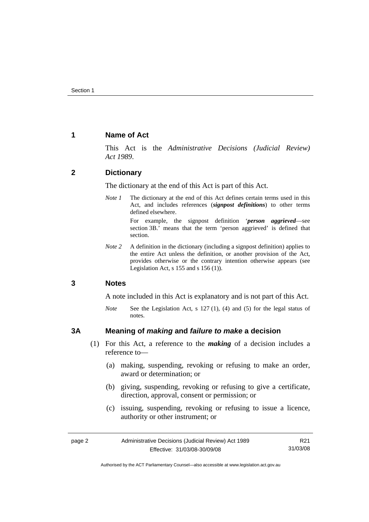# <span id="page-5-0"></span>**1 Name of Act**

This Act is the *Administrative Decisions (Judicial Review) Act 1989*.

# **2 Dictionary**

The dictionary at the end of this Act is part of this Act.

*Note 1* The dictionary at the end of this Act defines certain terms used in this Act, and includes references (*signpost definitions*) to other terms defined elsewhere.

> For example, the signpost definition '*person aggrieved*—see section 3B.' means that the term 'person aggrieved' is defined that section.

*Note* 2 A definition in the dictionary (including a signpost definition) applies to the entire Act unless the definition, or another provision of the Act, provides otherwise or the contrary intention otherwise appears (see Legislation Act, s  $155$  and s  $156$  (1)).

# **3 Notes**

A note included in this Act is explanatory and is not part of this Act.

*Note* See the Legislation Act, s 127 (1), (4) and (5) for the legal status of notes.

# **3A Meaning of** *making* **and** *failure to make* **a decision**

- (1) For this Act, a reference to the *making* of a decision includes a reference to—
	- (a) making, suspending, revoking or refusing to make an order, award or determination; or
	- (b) giving, suspending, revoking or refusing to give a certificate, direction, approval, consent or permission; or
	- (c) issuing, suspending, revoking or refusing to issue a licence, authority or other instrument; or

| page 2 | Administrative Decisions (Judicial Review) Act 1989 |          |
|--------|-----------------------------------------------------|----------|
|        | Effective: 31/03/08-30/09/08                        | 31/03/08 |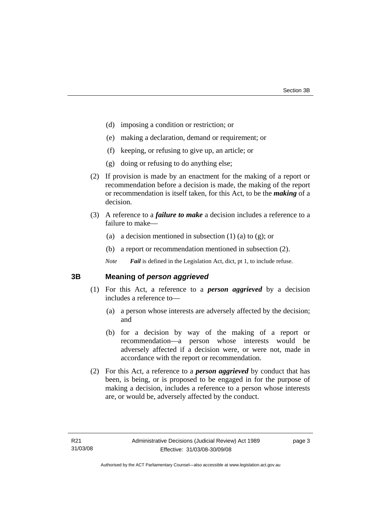- <span id="page-6-0"></span>(d) imposing a condition or restriction; or
- (e) making a declaration, demand or requirement; or
- (f) keeping, or refusing to give up, an article; or
- (g) doing or refusing to do anything else;
- (2) If provision is made by an enactment for the making of a report or recommendation before a decision is made, the making of the report or recommendation is itself taken, for this Act, to be the *making* of a decision.
- (3) A reference to a *failure to make* a decision includes a reference to a failure to make—
	- (a) a decision mentioned in subsection  $(1)$  (a) to  $(g)$ ; or
	- (b) a report or recommendation mentioned in subsection (2).

*Note Fail* is defined in the Legislation Act, dict, pt 1, to include refuse.

# **3B Meaning of** *person aggrieved*

- (1) For this Act, a reference to a *person aggrieved* by a decision includes a reference to—
	- (a) a person whose interests are adversely affected by the decision; and
	- (b) for a decision by way of the making of a report or recommendation—a person whose interests would be adversely affected if a decision were, or were not, made in accordance with the report or recommendation.
- (2) For this Act, a reference to a *person aggrieved* by conduct that has been, is being, or is proposed to be engaged in for the purpose of making a decision, includes a reference to a person whose interests are, or would be, adversely affected by the conduct.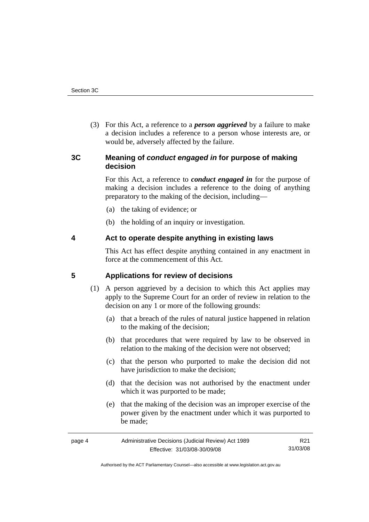<span id="page-7-0"></span> (3) For this Act, a reference to a *person aggrieved* by a failure to make a decision includes a reference to a person whose interests are, or would be, adversely affected by the failure.

# **3C Meaning of** *conduct engaged in* **for purpose of making decision**

For this Act, a reference to *conduct engaged in* for the purpose of making a decision includes a reference to the doing of anything preparatory to the making of the decision, including—

- (a) the taking of evidence; or
- (b) the holding of an inquiry or investigation.

## **4 Act to operate despite anything in existing laws**

This Act has effect despite anything contained in any enactment in force at the commencement of this Act.

## **5 Applications for review of decisions**

- (1) A person aggrieved by a decision to which this Act applies may apply to the Supreme Court for an order of review in relation to the decision on any 1 or more of the following grounds:
	- (a) that a breach of the rules of natural justice happened in relation to the making of the decision;
	- (b) that procedures that were required by law to be observed in relation to the making of the decision were not observed;
	- (c) that the person who purported to make the decision did not have jurisdiction to make the decision;
	- (d) that the decision was not authorised by the enactment under which it was purported to be made;
	- (e) that the making of the decision was an improper exercise of the power given by the enactment under which it was purported to be made;

| page 4 | Administrative Decisions (Judicial Review) Act 1989 |          |
|--------|-----------------------------------------------------|----------|
|        | Effective: 31/03/08-30/09/08                        | 31/03/08 |

Authorised by the ACT Parliamentary Counsel—also accessible at www.legislation.act.gov.au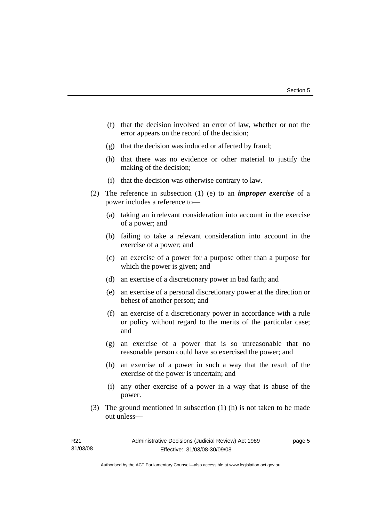- (f) that the decision involved an error of law, whether or not the error appears on the record of the decision;
- (g) that the decision was induced or affected by fraud;
- (h) that there was no evidence or other material to justify the making of the decision;
- (i) that the decision was otherwise contrary to law.
- (2) The reference in subsection (1) (e) to an *improper exercise* of a power includes a reference to—
	- (a) taking an irrelevant consideration into account in the exercise of a power; and
	- (b) failing to take a relevant consideration into account in the exercise of a power; and
	- (c) an exercise of a power for a purpose other than a purpose for which the power is given; and
	- (d) an exercise of a discretionary power in bad faith; and
	- (e) an exercise of a personal discretionary power at the direction or behest of another person; and
	- (f) an exercise of a discretionary power in accordance with a rule or policy without regard to the merits of the particular case; and
	- (g) an exercise of a power that is so unreasonable that no reasonable person could have so exercised the power; and
	- (h) an exercise of a power in such a way that the result of the exercise of the power is uncertain; and
	- (i) any other exercise of a power in a way that is abuse of the power.
- (3) The ground mentioned in subsection (1) (h) is not taken to be made out unless—

page 5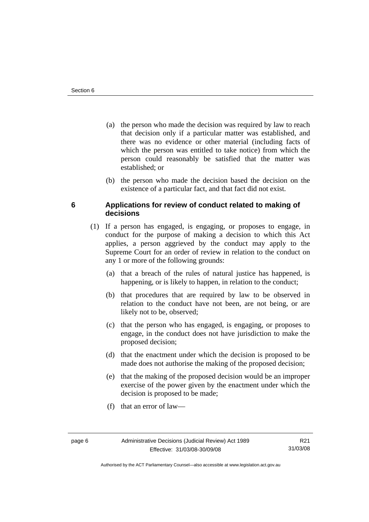- <span id="page-9-0"></span> (a) the person who made the decision was required by law to reach that decision only if a particular matter was established, and there was no evidence or other material (including facts of which the person was entitled to take notice) from which the person could reasonably be satisfied that the matter was established; or
- (b) the person who made the decision based the decision on the existence of a particular fact, and that fact did not exist.

# **6 Applications for review of conduct related to making of decisions**

- (1) If a person has engaged, is engaging, or proposes to engage, in conduct for the purpose of making a decision to which this Act applies, a person aggrieved by the conduct may apply to the Supreme Court for an order of review in relation to the conduct on any 1 or more of the following grounds:
	- (a) that a breach of the rules of natural justice has happened, is happening, or is likely to happen, in relation to the conduct;
	- (b) that procedures that are required by law to be observed in relation to the conduct have not been, are not being, or are likely not to be, observed;
	- (c) that the person who has engaged, is engaging, or proposes to engage, in the conduct does not have jurisdiction to make the proposed decision;
	- (d) that the enactment under which the decision is proposed to be made does not authorise the making of the proposed decision;
	- (e) that the making of the proposed decision would be an improper exercise of the power given by the enactment under which the decision is proposed to be made;
	- (f) that an error of law—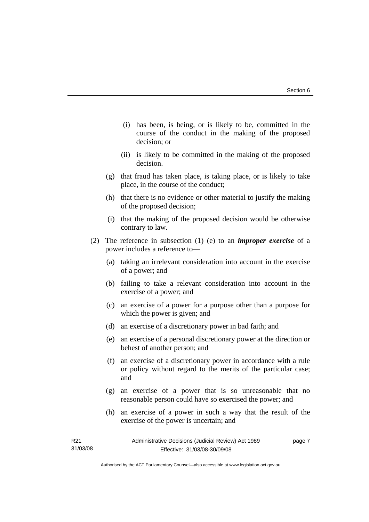- (i) has been, is being, or is likely to be, committed in the course of the conduct in the making of the proposed decision; or
- (ii) is likely to be committed in the making of the proposed decision.
- (g) that fraud has taken place, is taking place, or is likely to take place, in the course of the conduct;
- (h) that there is no evidence or other material to justify the making of the proposed decision;
- (i) that the making of the proposed decision would be otherwise contrary to law.
- (2) The reference in subsection (1) (e) to an *improper exercise* of a power includes a reference to—
	- (a) taking an irrelevant consideration into account in the exercise of a power; and
	- (b) failing to take a relevant consideration into account in the exercise of a power; and
	- (c) an exercise of a power for a purpose other than a purpose for which the power is given; and
	- (d) an exercise of a discretionary power in bad faith; and
	- (e) an exercise of a personal discretionary power at the direction or behest of another person; and
	- (f) an exercise of a discretionary power in accordance with a rule or policy without regard to the merits of the particular case; and
	- (g) an exercise of a power that is so unreasonable that no reasonable person could have so exercised the power; and
	- (h) an exercise of a power in such a way that the result of the exercise of the power is uncertain; and

| R21      | Administrative Decisions (Judicial Review) Act 1989 | page 7 |
|----------|-----------------------------------------------------|--------|
| 31/03/08 | Effective: 31/03/08-30/09/08                        |        |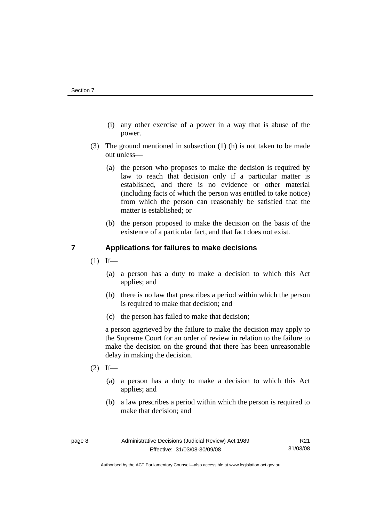- <span id="page-11-0"></span> (i) any other exercise of a power in a way that is abuse of the power.
- (3) The ground mentioned in subsection (1) (h) is not taken to be made out unless—
	- (a) the person who proposes to make the decision is required by law to reach that decision only if a particular matter is established, and there is no evidence or other material (including facts of which the person was entitled to take notice) from which the person can reasonably be satisfied that the matter is established; or
	- (b) the person proposed to make the decision on the basis of the existence of a particular fact, and that fact does not exist.

# **7 Applications for failures to make decisions**

- $(1)$  If—
	- (a) a person has a duty to make a decision to which this Act applies; and
	- (b) there is no law that prescribes a period within which the person is required to make that decision; and
	- (c) the person has failed to make that decision;

a person aggrieved by the failure to make the decision may apply to the Supreme Court for an order of review in relation to the failure to make the decision on the ground that there has been unreasonable delay in making the decision.

- $(2)$  If—
	- (a) a person has a duty to make a decision to which this Act applies; and
	- (b) a law prescribes a period within which the person is required to make that decision; and

Authorised by the ACT Parliamentary Counsel—also accessible at www.legislation.act.gov.au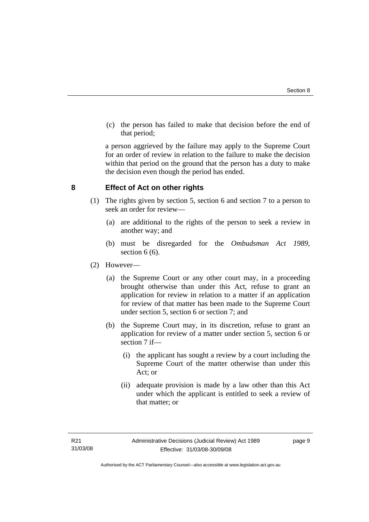<span id="page-12-0"></span> (c) the person has failed to make that decision before the end of that period;

a person aggrieved by the failure may apply to the Supreme Court for an order of review in relation to the failure to make the decision within that period on the ground that the person has a duty to make the decision even though the period has ended.

# **8 Effect of Act on other rights**

- (1) The rights given by section 5, section 6 and section 7 to a person to seek an order for review—
	- (a) are additional to the rights of the person to seek a review in another way; and
	- (b) must be disregarded for the *Ombudsman Act 1989*, section 6 (6).
- (2) However—
	- (a) the Supreme Court or any other court may, in a proceeding brought otherwise than under this Act, refuse to grant an application for review in relation to a matter if an application for review of that matter has been made to the Supreme Court under section 5, section 6 or section 7; and
	- (b) the Supreme Court may, in its discretion, refuse to grant an application for review of a matter under section 5, section 6 or section 7 if—
		- (i) the applicant has sought a review by a court including the Supreme Court of the matter otherwise than under this Act; or
		- (ii) adequate provision is made by a law other than this Act under which the applicant is entitled to seek a review of that matter; or

page 9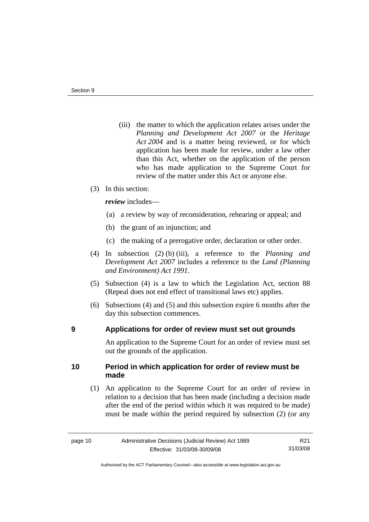- <span id="page-13-0"></span> (iii) the matter to which the application relates arises under the *Planning and Development Act 2007* or the *Heritage Act 2004* and is a matter being reviewed, or for which application has been made for review, under a law other than this Act, whether on the application of the person who has made application to the Supreme Court for review of the matter under this Act or anyone else.
- (3) In this section:

*review* includes—

- (a) a review by way of reconsideration, rehearing or appeal; and
- (b) the grant of an injunction; and
- (c) the making of a prerogative order, declaration or other order.
- (4) In subsection (2) (b) (iii), a reference to the *Planning and Development Act 2007* includes a reference to the *Land (Planning and Environment) Act 1991*.
- (5) Subsection (4) is a law to which the Legislation Act, section 88 (Repeal does not end effect of transitional laws etc) applies.
- (6) Subsections (4) and (5) and this subsection expire 6 months after the day this subsection commences.

### **9 Applications for order of review must set out grounds**

An application to the Supreme Court for an order of review must set out the grounds of the application.

# **10 Period in which application for order of review must be made**

 (1) An application to the Supreme Court for an order of review in relation to a decision that has been made (including a decision made after the end of the period within which it was required to be made) must be made within the period required by subsection (2) (or any

Authorised by the ACT Parliamentary Counsel—also accessible at www.legislation.act.gov.au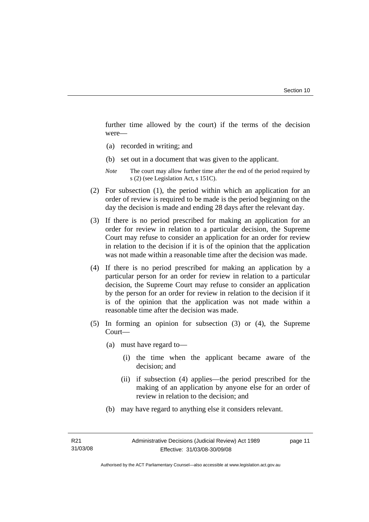further time allowed by the court) if the terms of the decision were—

- (a) recorded in writing; and
- (b) set out in a document that was given to the applicant.
- *Note* The court may allow further time after the end of the period required by s (2) (see Legislation Act, s 151C).
- (2) For subsection (1), the period within which an application for an order of review is required to be made is the period beginning on the day the decision is made and ending 28 days after the relevant day.
- (3) If there is no period prescribed for making an application for an order for review in relation to a particular decision, the Supreme Court may refuse to consider an application for an order for review in relation to the decision if it is of the opinion that the application was not made within a reasonable time after the decision was made.
- (4) If there is no period prescribed for making an application by a particular person for an order for review in relation to a particular decision, the Supreme Court may refuse to consider an application by the person for an order for review in relation to the decision if it is of the opinion that the application was not made within a reasonable time after the decision was made.
- (5) In forming an opinion for subsection (3) or (4), the Supreme Court—
	- (a) must have regard to—
		- (i) the time when the applicant became aware of the decision; and
		- (ii) if subsection (4) applies—the period prescribed for the making of an application by anyone else for an order of review in relation to the decision; and
	- (b) may have regard to anything else it considers relevant.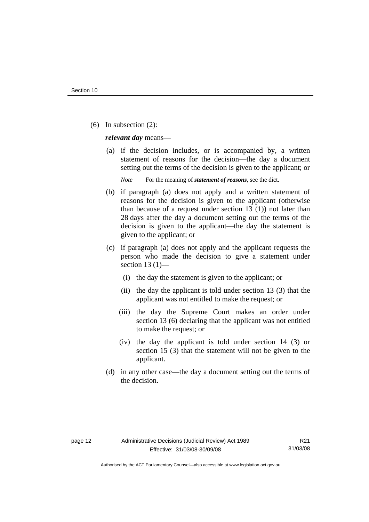(6) In subsection (2):

*relevant day* means—

 (a) if the decision includes, or is accompanied by, a written statement of reasons for the decision—the day a document setting out the terms of the decision is given to the applicant; or

*Note* For the meaning of *statement of reasons*, see the dict.

- (b) if paragraph (a) does not apply and a written statement of reasons for the decision is given to the applicant (otherwise than because of a request under section 13 (1)) not later than 28 days after the day a document setting out the terms of the decision is given to the applicant—the day the statement is given to the applicant; or
- (c) if paragraph (a) does not apply and the applicant requests the person who made the decision to give a statement under section 13 $(1)$ —
	- (i) the day the statement is given to the applicant; or
	- (ii) the day the applicant is told under section 13 (3) that the applicant was not entitled to make the request; or
	- (iii) the day the Supreme Court makes an order under section 13 (6) declaring that the applicant was not entitled to make the request; or
	- (iv) the day the applicant is told under section 14 (3) or section 15 (3) that the statement will not be given to the applicant.
- (d) in any other case—the day a document setting out the terms of the decision.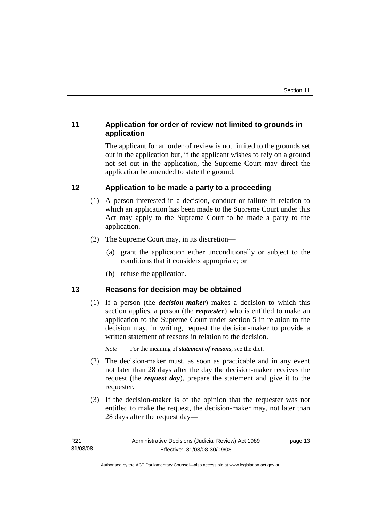# <span id="page-16-0"></span>**11 Application for order of review not limited to grounds in application**

The applicant for an order of review is not limited to the grounds set out in the application but, if the applicant wishes to rely on a ground not set out in the application, the Supreme Court may direct the application be amended to state the ground.

# **12 Application to be made a party to a proceeding**

- (1) A person interested in a decision, conduct or failure in relation to which an application has been made to the Supreme Court under this Act may apply to the Supreme Court to be made a party to the application.
- (2) The Supreme Court may, in its discretion—
	- (a) grant the application either unconditionally or subject to the conditions that it considers appropriate; or
	- (b) refuse the application.

# **13 Reasons for decision may be obtained**

 (1) If a person (the *decision-maker*) makes a decision to which this section applies, a person (the *requester*) who is entitled to make an application to the Supreme Court under section 5 in relation to the decision may, in writing, request the decision-maker to provide a written statement of reasons in relation to the decision.

*Note* For the meaning of *statement of reasons*, see the dict.

- (2) The decision-maker must, as soon as practicable and in any event not later than 28 days after the day the decision-maker receives the request (the *request day*), prepare the statement and give it to the requester.
- (3) If the decision-maker is of the opinion that the requester was not entitled to make the request, the decision-maker may, not later than 28 days after the request day—

page 13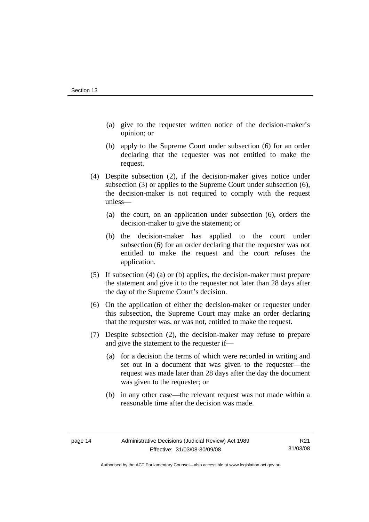- (a) give to the requester written notice of the decision-maker's opinion; or
- (b) apply to the Supreme Court under subsection (6) for an order declaring that the requester was not entitled to make the request.
- (4) Despite subsection (2), if the decision-maker gives notice under subsection (3) or applies to the Supreme Court under subsection (6), the decision-maker is not required to comply with the request unless—
	- (a) the court, on an application under subsection (6), orders the decision-maker to give the statement; or
	- (b) the decision-maker has applied to the court under subsection (6) for an order declaring that the requester was not entitled to make the request and the court refuses the application.
- (5) If subsection (4) (a) or (b) applies, the decision-maker must prepare the statement and give it to the requester not later than 28 days after the day of the Supreme Court's decision.
- (6) On the application of either the decision-maker or requester under this subsection, the Supreme Court may make an order declaring that the requester was, or was not, entitled to make the request.
- (7) Despite subsection (2), the decision-maker may refuse to prepare and give the statement to the requester if—
	- (a) for a decision the terms of which were recorded in writing and set out in a document that was given to the requester—the request was made later than 28 days after the day the document was given to the requester; or
	- (b) in any other case—the relevant request was not made within a reasonable time after the decision was made.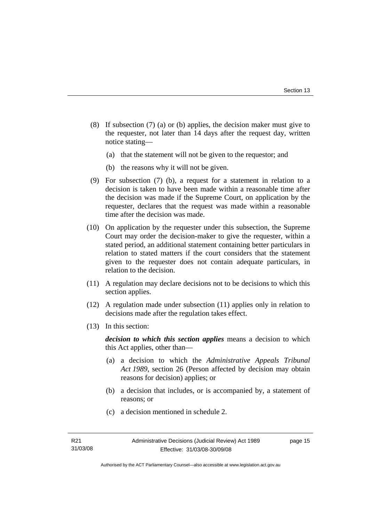- (8) If subsection (7) (a) or (b) applies, the decision maker must give to the requester, not later than 14 days after the request day, written notice stating—
	- (a) that the statement will not be given to the requestor; and
	- (b) the reasons why it will not be given.
- (9) For subsection (7) (b), a request for a statement in relation to a decision is taken to have been made within a reasonable time after the decision was made if the Supreme Court, on application by the requester, declares that the request was made within a reasonable time after the decision was made.
- (10) On application by the requester under this subsection, the Supreme Court may order the decision-maker to give the requester, within a stated period, an additional statement containing better particulars in relation to stated matters if the court considers that the statement given to the requester does not contain adequate particulars, in relation to the decision.
- (11) A regulation may declare decisions not to be decisions to which this section applies.
- (12) A regulation made under subsection (11) applies only in relation to decisions made after the regulation takes effect.
- (13) In this section:

*decision to which this section applies* means a decision to which this Act applies, other than—

- (a) a decision to which the *Administrative Appeals Tribunal Act 1989*, section 26 (Person affected by decision may obtain reasons for decision) applies; or
- (b) a decision that includes, or is accompanied by, a statement of reasons; or
- (c) a decision mentioned in schedule 2.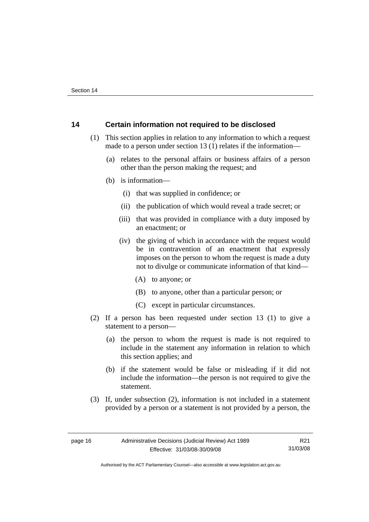# <span id="page-19-0"></span>**14 Certain information not required to be disclosed**

- (1) This section applies in relation to any information to which a request made to a person under section 13 (1) relates if the information—
	- (a) relates to the personal affairs or business affairs of a person other than the person making the request; and
	- (b) is information—
		- (i) that was supplied in confidence; or
		- (ii) the publication of which would reveal a trade secret; or
		- (iii) that was provided in compliance with a duty imposed by an enactment; or
		- (iv) the giving of which in accordance with the request would be in contravention of an enactment that expressly imposes on the person to whom the request is made a duty not to divulge or communicate information of that kind—
			- (A) to anyone; or
			- (B) to anyone, other than a particular person; or
			- (C) except in particular circumstances.
- (2) If a person has been requested under section 13 (1) to give a statement to a person—
	- (a) the person to whom the request is made is not required to include in the statement any information in relation to which this section applies; and
	- (b) if the statement would be false or misleading if it did not include the information—the person is not required to give the statement.
- (3) If, under subsection (2), information is not included in a statement provided by a person or a statement is not provided by a person, the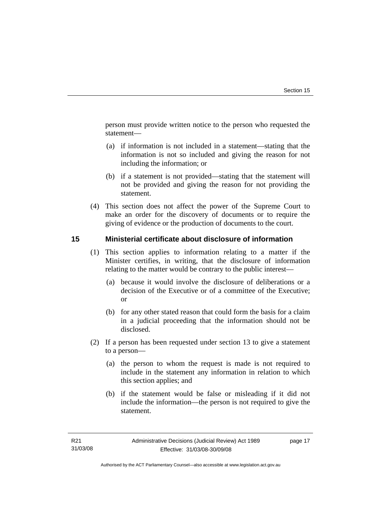<span id="page-20-0"></span>person must provide written notice to the person who requested the statement—

- (a) if information is not included in a statement—stating that the information is not so included and giving the reason for not including the information; or
- (b) if a statement is not provided—stating that the statement will not be provided and giving the reason for not providing the statement.
- (4) This section does not affect the power of the Supreme Court to make an order for the discovery of documents or to require the giving of evidence or the production of documents to the court.

# **15 Ministerial certificate about disclosure of information**

- (1) This section applies to information relating to a matter if the Minister certifies, in writing, that the disclosure of information relating to the matter would be contrary to the public interest—
	- (a) because it would involve the disclosure of deliberations or a decision of the Executive or of a committee of the Executive; or
	- (b) for any other stated reason that could form the basis for a claim in a judicial proceeding that the information should not be disclosed.
- (2) If a person has been requested under section 13 to give a statement to a person—
	- (a) the person to whom the request is made is not required to include in the statement any information in relation to which this section applies; and
	- (b) if the statement would be false or misleading if it did not include the information—the person is not required to give the statement.

page 17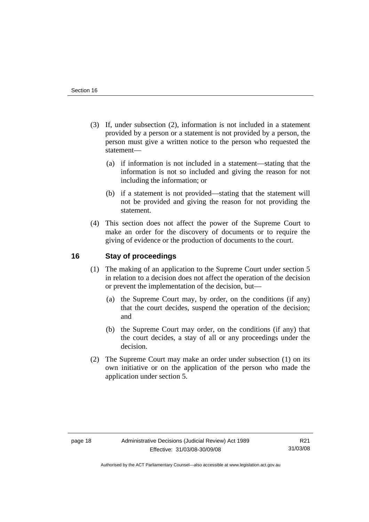- <span id="page-21-0"></span> (3) If, under subsection (2), information is not included in a statement provided by a person or a statement is not provided by a person, the person must give a written notice to the person who requested the statement—
	- (a) if information is not included in a statement—stating that the information is not so included and giving the reason for not including the information; or
	- (b) if a statement is not provided—stating that the statement will not be provided and giving the reason for not providing the statement.
- (4) This section does not affect the power of the Supreme Court to make an order for the discovery of documents or to require the giving of evidence or the production of documents to the court.

# **16 Stay of proceedings**

- (1) The making of an application to the Supreme Court under section 5 in relation to a decision does not affect the operation of the decision or prevent the implementation of the decision, but—
	- (a) the Supreme Court may, by order, on the conditions (if any) that the court decides, suspend the operation of the decision; and
	- (b) the Supreme Court may order, on the conditions (if any) that the court decides, a stay of all or any proceedings under the decision.
- (2) The Supreme Court may make an order under subsection (1) on its own initiative or on the application of the person who made the application under section 5.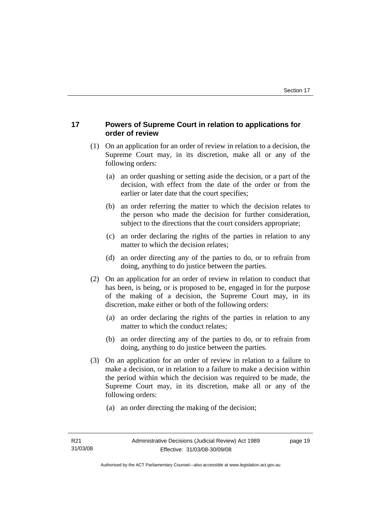# <span id="page-22-0"></span>**17 Powers of Supreme Court in relation to applications for order of review**

- (1) On an application for an order of review in relation to a decision, the Supreme Court may, in its discretion, make all or any of the following orders:
	- (a) an order quashing or setting aside the decision, or a part of the decision, with effect from the date of the order or from the earlier or later date that the court specifies;
	- (b) an order referring the matter to which the decision relates to the person who made the decision for further consideration, subject to the directions that the court considers appropriate;
	- (c) an order declaring the rights of the parties in relation to any matter to which the decision relates;
	- (d) an order directing any of the parties to do, or to refrain from doing, anything to do justice between the parties.
- (2) On an application for an order of review in relation to conduct that has been, is being, or is proposed to be, engaged in for the purpose of the making of a decision, the Supreme Court may, in its discretion, make either or both of the following orders:
	- (a) an order declaring the rights of the parties in relation to any matter to which the conduct relates;
	- (b) an order directing any of the parties to do, or to refrain from doing, anything to do justice between the parties.
- (3) On an application for an order of review in relation to a failure to make a decision, or in relation to a failure to make a decision within the period within which the decision was required to be made, the Supreme Court may, in its discretion, make all or any of the following orders:
	- (a) an order directing the making of the decision;

page 19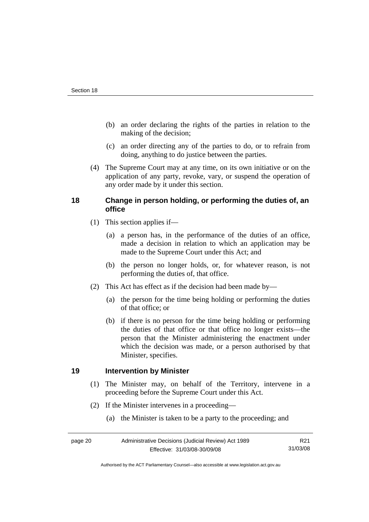- <span id="page-23-0"></span> (b) an order declaring the rights of the parties in relation to the making of the decision;
- (c) an order directing any of the parties to do, or to refrain from doing, anything to do justice between the parties.
- (4) The Supreme Court may at any time, on its own initiative or on the application of any party, revoke, vary, or suspend the operation of any order made by it under this section.

# **18 Change in person holding, or performing the duties of, an office**

- (1) This section applies if—
	- (a) a person has, in the performance of the duties of an office, made a decision in relation to which an application may be made to the Supreme Court under this Act; and
	- (b) the person no longer holds, or, for whatever reason, is not performing the duties of, that office.
- (2) This Act has effect as if the decision had been made by—
	- (a) the person for the time being holding or performing the duties of that office; or
	- (b) if there is no person for the time being holding or performing the duties of that office or that office no longer exists—the person that the Minister administering the enactment under which the decision was made, or a person authorised by that Minister, specifies.

# **19 Intervention by Minister**

- (1) The Minister may, on behalf of the Territory, intervene in a proceeding before the Supreme Court under this Act.
- (2) If the Minister intervenes in a proceeding—
	- (a) the Minister is taken to be a party to the proceeding; and

| page 20 | Administrative Decisions (Judicial Review) Act 1989 | R <sub>21</sub> |
|---------|-----------------------------------------------------|-----------------|
|         | Effective: 31/03/08-30/09/08                        | 31/03/08        |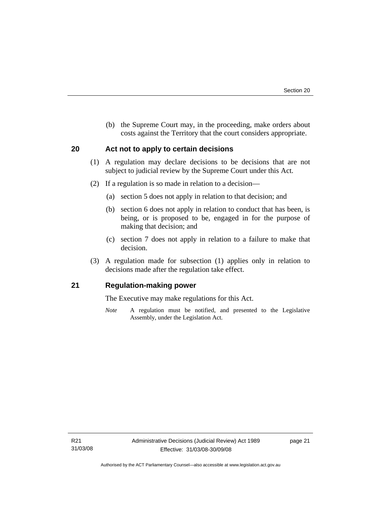<span id="page-24-0"></span> (b) the Supreme Court may, in the proceeding, make orders about costs against the Territory that the court considers appropriate.

# **20 Act not to apply to certain decisions**

- (1) A regulation may declare decisions to be decisions that are not subject to judicial review by the Supreme Court under this Act.
- (2) If a regulation is so made in relation to a decision—
	- (a) section 5 does not apply in relation to that decision; and
	- (b) section 6 does not apply in relation to conduct that has been, is being, or is proposed to be, engaged in for the purpose of making that decision; and
	- (c) section 7 does not apply in relation to a failure to make that decision.
- (3) A regulation made for subsection (1) applies only in relation to decisions made after the regulation take effect.

# **21 Regulation-making power**

The Executive may make regulations for this Act.

*Note* A regulation must be notified, and presented to the Legislative Assembly, under the Legislation Act.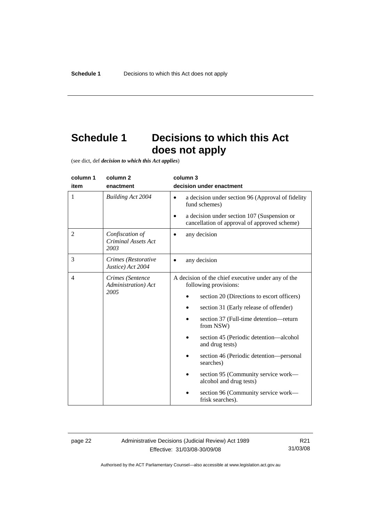# <span id="page-25-0"></span>**Schedule 1 Decisions to which this Act does not apply**

(see dict, def *decision to which this Act applies*)

| column 1 | column <sub>2</sub>                                   | column 3                                                                                                                       |
|----------|-------------------------------------------------------|--------------------------------------------------------------------------------------------------------------------------------|
| item     | enactment                                             | decision under enactment                                                                                                       |
| 1        | <b>Building Act 2004</b>                              | a decision under section 96 (Approval of fidelity<br>$\bullet$<br>fund schemes)<br>a decision under section 107 (Suspension or |
|          |                                                       | cancellation of approval of approved scheme)                                                                                   |
| 2        | Confiscation of<br><b>Criminal Assets Act</b><br>2003 | any decision                                                                                                                   |
| 3        | Crimes (Restorative<br>Justice) Act 2004              | any decision                                                                                                                   |
| 4        | Crimes (Sentence<br>Administration) Act<br>2005       | A decision of the chief executive under any of the<br>following provisions:                                                    |
|          |                                                       | section 20 (Directions to escort officers)                                                                                     |
|          |                                                       | section 31 (Early release of offender)                                                                                         |
|          |                                                       | section 37 (Full-time detention-return<br>from NSW)                                                                            |
|          |                                                       | section 45 (Periodic detention—alcohol<br>and drug tests)                                                                      |
|          |                                                       | section 46 (Periodic detention—personal<br>searches)                                                                           |
|          |                                                       | section 95 (Community service work—<br>alcohol and drug tests)                                                                 |
|          |                                                       | section 96 (Community service work—<br>frisk searches).                                                                        |

page 22 Administrative Decisions (Judicial Review) Act 1989 Effective: 31/03/08-30/09/08

R21 31/03/08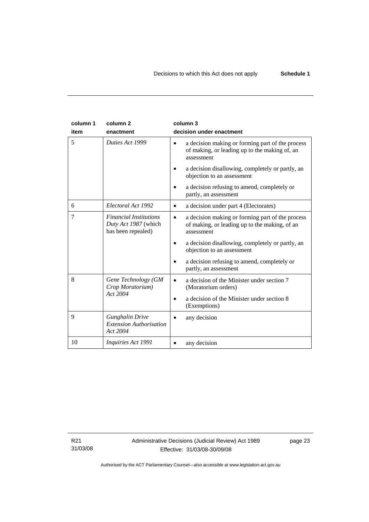| column 1<br>item | column <sub>2</sub><br>enactment                                            | column 3<br>decision under enactment                                                                                                                                                                                                                                                   |
|------------------|-----------------------------------------------------------------------------|----------------------------------------------------------------------------------------------------------------------------------------------------------------------------------------------------------------------------------------------------------------------------------------|
| 5                | Duties Act 1999                                                             | a decision making or forming part of the process<br>of making, or leading up to the making of, an<br>assessment<br>a decision disallowing, completely or partly, an<br>objection to an assessment                                                                                      |
|                  |                                                                             | a decision refusing to amend, completely or<br>partly, an assessment                                                                                                                                                                                                                   |
| 6                | Electoral Act 1992                                                          | a decision under part 4 (Electorates)                                                                                                                                                                                                                                                  |
| 7                | <b>Financial Institutions</b><br>Duty Act 1987 (which<br>has been repealed) | a decision making or forming part of the process<br>$\bullet$<br>of making, or leading up to the making, of an<br>assessment<br>a decision disallowing, completely or partly, an<br>objection to an assessment<br>a decision refusing to amend, completely or<br>partly, an assessment |
| 8                | Gene Technology (GM<br>Crop Moratorium)<br>Act 2004                         | a decision of the Minister under section 7<br>$\bullet$<br>(Moratorium orders)<br>a decision of the Minister under section 8<br>(Exemptions)                                                                                                                                           |
| 9                | <b>Gunghalin Drive</b><br><b>Extension Authorisation</b><br>Act 2004        | any decision                                                                                                                                                                                                                                                                           |
| 10               | <i>Inquiries Act 1991</i>                                                   | any decision                                                                                                                                                                                                                                                                           |

R21 31/03/08 page 23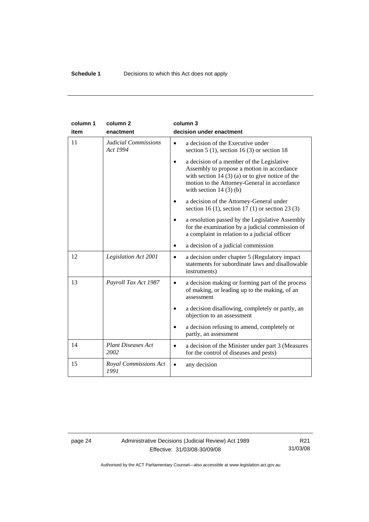| column 1<br>item | column <sub>2</sub><br>enactment        | column 3<br>decision under enactment                                                                                                                                                                                                  |
|------------------|-----------------------------------------|---------------------------------------------------------------------------------------------------------------------------------------------------------------------------------------------------------------------------------------|
| 11               | <b>Judicial Commissions</b><br>Act 1994 | a decision of the Executive under<br>$\bullet$<br>section 5 (1), section 16 (3) or section 18                                                                                                                                         |
|                  |                                         | a decision of a member of the Legislative<br>$\bullet$<br>Assembly to propose a motion in accordance<br>with section 14 $(3)$ (a) or to give notice of the<br>motion to the Attorney-General in accordance<br>with section $14(3)(b)$ |
|                  |                                         | a decision of the Attorney-General under<br>section 16 (1), section 17 (1) or section 23 (3)                                                                                                                                          |
|                  |                                         | a resolution passed by the Legislative Assembly<br>for the examination by a judicial commission of<br>a complaint in relation to a judicial officer                                                                                   |
|                  |                                         | a decision of a judicial commission<br>$\bullet$                                                                                                                                                                                      |
| 12               | Legislation Act 2001                    | a decision under chapter 5 (Regulatory impact<br>$\bullet$<br>statements for subordinate laws and disallowable<br>instruments)                                                                                                        |
| 13               | Payroll Tax Act 1987                    | a decision making or forming part of the process<br>$\bullet$<br>of making, or leading up to the making, of an<br>assessment                                                                                                          |
|                  |                                         | a decision disallowing, completely or partly, an<br>objection to an assessment                                                                                                                                                        |
|                  |                                         | a decision refusing to amend, completely or<br>partly, an assessment                                                                                                                                                                  |
| 14               | <b>Plant Diseases Act</b><br>2002       | a decision of the Minister under part 3 (Measures<br>for the control of diseases and pests)                                                                                                                                           |
| 15               | Royal Commissions Act<br>1991           | any decision                                                                                                                                                                                                                          |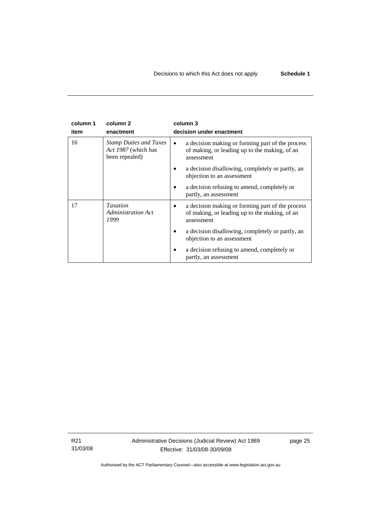| column 1 | column <sub>2</sub>                                                    | column 3                                                                                                                     |  |
|----------|------------------------------------------------------------------------|------------------------------------------------------------------------------------------------------------------------------|--|
| item     | enactment                                                              | decision under enactment                                                                                                     |  |
| 16       | <b>Stamp Duties and Taxes</b><br>Act 1987 (which has<br>been repealed) | a decision making or forming part of the process<br>$\bullet$<br>of making, or leading up to the making, of an<br>assessment |  |
|          |                                                                        | a decision disallowing, completely or partly, an<br>objection to an assessment                                               |  |
|          |                                                                        | a decision refusing to amend, completely or<br>partly, an assessment                                                         |  |
| 17       | <b>Taxation</b><br><b>Administration Act</b><br>1999                   | a decision making or forming part of the process<br>of making, or leading up to the making, of an<br>assessment              |  |
|          |                                                                        | a decision disallowing, completely or partly, an<br>objection to an assessment                                               |  |
|          |                                                                        | a decision refusing to amend, completely or<br>partly, an assessment                                                         |  |

R21 31/03/08 Administrative Decisions (Judicial Review) Act 1989 Effective: 31/03/08-30/09/08

page 25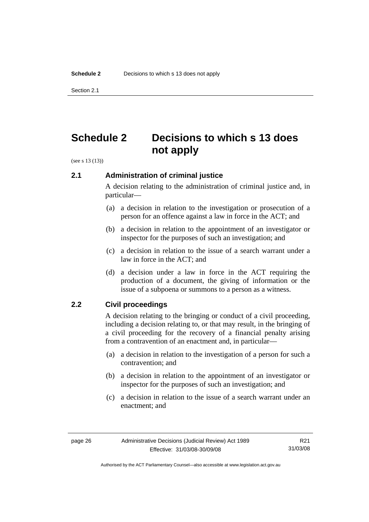<span id="page-29-0"></span>Section 2.1

# **Schedule 2 Decisions to which s 13 does not apply**

(see s 13 (13))

# **2.1 Administration of criminal justice**

A decision relating to the administration of criminal justice and, in particular—

- (a) a decision in relation to the investigation or prosecution of a person for an offence against a law in force in the ACT; and
- (b) a decision in relation to the appointment of an investigator or inspector for the purposes of such an investigation; and
- (c) a decision in relation to the issue of a search warrant under a law in force in the ACT; and
- (d) a decision under a law in force in the ACT requiring the production of a document, the giving of information or the issue of a subpoena or summons to a person as a witness.

# **2.2 Civil proceedings**

A decision relating to the bringing or conduct of a civil proceeding, including a decision relating to, or that may result, in the bringing of a civil proceeding for the recovery of a financial penalty arising from a contravention of an enactment and, in particular—

- (a) a decision in relation to the investigation of a person for such a contravention; and
- (b) a decision in relation to the appointment of an investigator or inspector for the purposes of such an investigation; and
- (c) a decision in relation to the issue of a search warrant under an enactment; and

Authorised by the ACT Parliamentary Counsel—also accessible at www.legislation.act.gov.au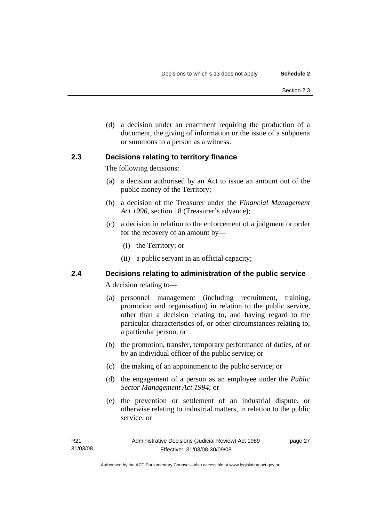<span id="page-30-0"></span> (d) a decision under an enactment requiring the production of a document, the giving of information or the issue of a subpoena or summons to a person as a witness.

# **2.3 Decisions relating to territory finance**

The following decisions:

- (a) a decision authorised by an Act to issue an amount out of the public money of the Territory;
- (b) a decision of the Treasurer under the *Financial Management Act 1996*, section 18 (Treasurer's advance);
- (c) a decision in relation to the enforcement of a judgment or order for the recovery of an amount by—
	- (i) the Territory; or
	- (ii) a public servant in an official capacity;

# **2.4 Decisions relating to administration of the public service**

A decision relating to—

- (a) personnel management (including recruitment, training, promotion and organisation) in relation to the public service, other than a decision relating to, and having regard to the particular characteristics of, or other circumstances relating to, a particular person; or
- (b) the promotion, transfer, temporary performance of duties, of or by an individual officer of the public service; or
- (c) the making of an appointment to the public service; or
- (d) the engagement of a person as an employee under the *Public Sector Management Act 1994*; or
- (e) the prevention or settlement of an industrial dispute, or otherwise relating to industrial matters, in relation to the public service; or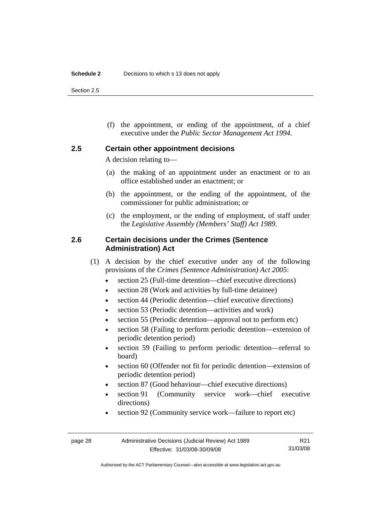<span id="page-31-0"></span>Section 2.5

 (f) the appointment, or ending of the appointment, of a chief executive under the *Public Sector Management Act 1994*.

## **2.5 Certain other appointment decisions**

A decision relating to—

- (a) the making of an appointment under an enactment or to an office established under an enactment; or
- (b) the appointment, or the ending of the appointment, of the commissioner for public administration; or
- (c) the employment, or the ending of employment, of staff under the *Legislative Assembly (Members' Staff) Act 1989*.

## **2.6 Certain decisions under the Crimes (Sentence Administration) Act**

- (1) A decision by the chief executive under any of the following provisions of the *Crimes (Sentence Administration) Act 2005*:
	- section 25 (Full-time detention—chief executive directions)
	- section 28 (Work and activities by full-time detainee)
	- section 44 (Periodic detention—chief executive directions)
	- section 53 (Periodic detention—activities and work)
	- section 55 (Periodic detention—approval not to perform etc)
	- section 58 (Failing to perform periodic detention—extension of periodic detention period)
	- section 59 (Failing to perform periodic detention—referral to board)
	- section 60 (Offender not fit for periodic detention—extension of periodic detention period)
	- section 87 (Good behaviour—chief executive directions)
	- section 91 (Community service work—chief executive directions)
	- section 92 (Community service work—failure to report etc)

R21 31/03/08

Authorised by the ACT Parliamentary Counsel—also accessible at www.legislation.act.gov.au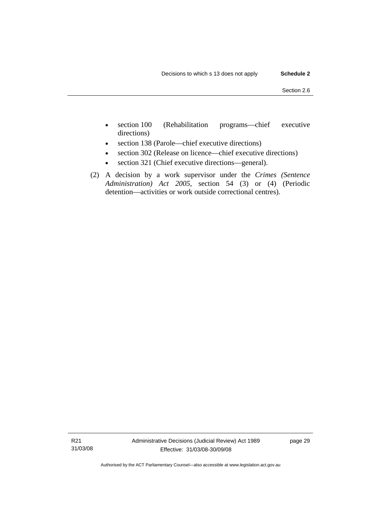- section 100 (Rehabilitation programs—chief executive directions)
- section 138 (Parole—chief executive directions)
- section 302 (Release on licence—chief executive directions)
- section 321 (Chief executive directions—general).
- (2) A decision by a work supervisor under the *Crimes (Sentence Administration) Act 2005*, section 54 (3) or (4) (Periodic detention—activities or work outside correctional centres).

page 29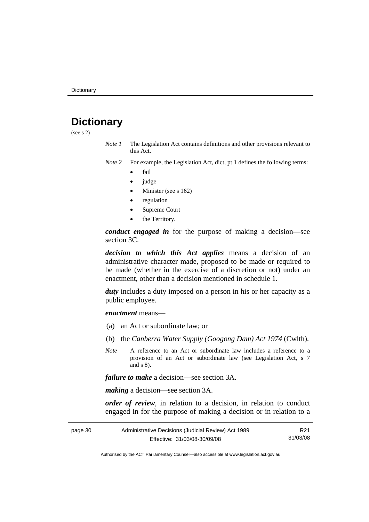# <span id="page-33-0"></span>**Dictionary**

(see s 2)

- *Note 1* The Legislation Act contains definitions and other provisions relevant to this Act.
- *Note 2* For example, the Legislation Act, dict, pt 1 defines the following terms:
	- fail
	- judge
	- Minister (see s 162)
	- regulation
	- Supreme Court
	- the Territory.

*conduct engaged in* for the purpose of making a decision—see section 3C.

*decision to which this Act applies* means a decision of an administrative character made, proposed to be made or required to be made (whether in the exercise of a discretion or not) under an enactment, other than a decision mentioned in schedule 1.

*duty* includes a duty imposed on a person in his or her capacity as a public employee.

*enactment* means—

- (a) an Act or subordinate law; or
- (b) the *Canberra Water Supply (Googong Dam) Act 1974* (Cwlth).
- *Note* A reference to an Act or subordinate law includes a reference to a provision of an Act or subordinate law (see Legislation Act, s 7 and s 8).

*failure to make* a decision—see section 3A.

*making* a decision—see section 3A.

*order of review*, in relation to a decision, in relation to conduct engaged in for the purpose of making a decision or in relation to a

| page 30 | Administrative Decisions (Judicial Review) Act 1989 | R21      |
|---------|-----------------------------------------------------|----------|
|         | Effective: 31/03/08-30/09/08                        | 31/03/08 |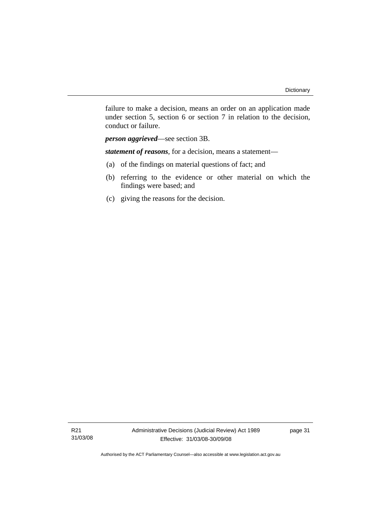failure to make a decision, means an order on an application made under section 5, section 6 or section 7 in relation to the decision, conduct or failure.

*person aggrieved*—see section 3B.

*statement of reasons*, for a decision, means a statement—

- (a) of the findings on material questions of fact; and
- (b) referring to the evidence or other material on which the findings were based; and
- (c) giving the reasons for the decision.

R21 31/03/08 page 31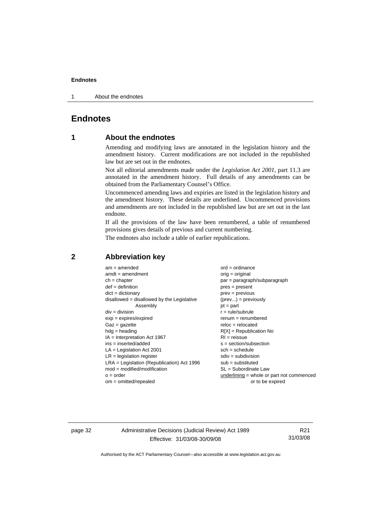<span id="page-35-0"></span>1 About the endnotes

# **Endnotes**

# **1 About the endnotes**

Amending and modifying laws are annotated in the legislation history and the amendment history. Current modifications are not included in the republished law but are set out in the endnotes.

Not all editorial amendments made under the *Legislation Act 2001*, part 11.3 are annotated in the amendment history. Full details of any amendments can be obtained from the Parliamentary Counsel's Office.

Uncommenced amending laws and expiries are listed in the legislation history and the amendment history. These details are underlined. Uncommenced provisions and amendments are not included in the republished law but are set out in the last endnote.

If all the provisions of the law have been renumbered, a table of renumbered provisions gives details of previous and current numbering.

The endnotes also include a table of earlier republications.

| $am = amended$                               | $ord = ordinance$                         |
|----------------------------------------------|-------------------------------------------|
| $amdt = amendment$                           | $orig = original$                         |
| $ch = chapter$                               | par = paragraph/subparagraph              |
| $def = definition$                           | $pres = present$                          |
| $dict = dictionary$                          | $prev = previous$                         |
| $disallowed = disallowed by the Legislative$ | $(\text{prev}) = \text{previously}$       |
| Assembly                                     | $pt = part$                               |
| $div = division$                             | $r = rule/subrule$                        |
| $exp = expires/expired$                      | $renum = renumbered$                      |
| $Gaz = gazette$                              | $reloc = relocated$                       |
| $h dq =$ heading                             | $R[X]$ = Republication No                 |
| $IA = Interpretation Act 1967$               | $RI = reissue$                            |
| $ins = inserted/added$                       | $s = section/subsection$                  |
| $LA =$ Legislation Act 2001                  | $sch = schedule$                          |
| $LR =$ legislation register                  | $sdiv = subdivision$                      |
| $LRA =$ Legislation (Republication) Act 1996 | $sub =$ substituted                       |
| $mod = modified/modification$                | $SL = Subordinate$ Law                    |
| $o = order$                                  | underlining = whole or part not commenced |
| $om = omitted/report$                        | or to be expired                          |
|                                              |                                           |

### **2 Abbreviation key**

page 32 Administrative Decisions (Judicial Review) Act 1989 Effective: 31/03/08-30/09/08

R21 31/03/08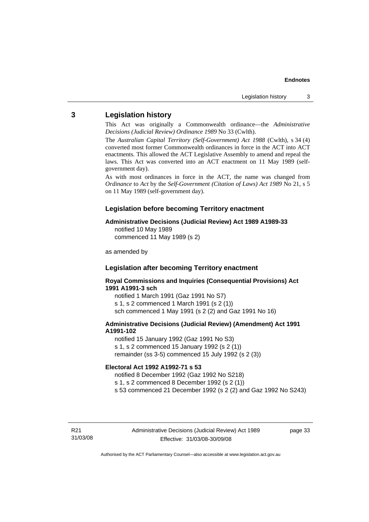## <span id="page-36-0"></span>**3 Legislation history**

This Act was originally a Commonwealth ordinance—the *Administrative Decisions (Judicial Review) Ordinance 1989* No 33 (Cwlth).

The *Australian Capital Territory (Self-Government) Act 1988* (Cwlth), s 34 (4) converted most former Commonwealth ordinances in force in the ACT into ACT enactments. This allowed the ACT Legislative Assembly to amend and repeal the laws. This Act was converted into an ACT enactment on 11 May 1989 (selfgovernment day).

As with most ordinances in force in the ACT, the name was changed from *Ordinance* to *Act* by the *Self-Government (Citation of Laws) Act 1989* No 21, s 5 on 11 May 1989 (self-government day).

## **Legislation before becoming Territory enactment**

### **Administrative Decisions (Judicial Review) Act 1989 A1989-33**

notified 10 May 1989 commenced 11 May 1989 (s 2)

as amended by

## **Legislation after becoming Territory enactment**

**Royal Commissions and Inquiries (Consequential Provisions) Act 1991 A1991-3 sch** 

notified 1 March 1991 (Gaz 1991 No S7) s 1, s 2 commenced 1 March 1991 (s 2 (1)) sch commenced 1 May 1991 (s 2 (2) and Gaz 1991 No 16)

### **Administrative Decisions (Judicial Review) (Amendment) Act 1991 A1991-102**

notified 15 January 1992 (Gaz 1991 No S3) s 1, s 2 commenced 15 January 1992 (s 2 (1)) remainder (ss 3-5) commenced 15 July 1992 (s 2 (3))

### **Electoral Act 1992 A1992-71 s 53**

notified 8 December 1992 (Gaz 1992 No S218)

s 1, s 2 commenced 8 December 1992 (s 2 (1))

s 53 commenced 21 December 1992 (s 2 (2) and Gaz 1992 No S243)

R21 31/03/08 page 33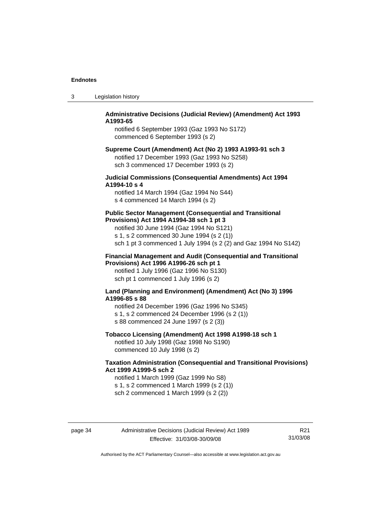| Legislation history | -3 |  |  |
|---------------------|----|--|--|
|---------------------|----|--|--|

## **Administrative Decisions (Judicial Review) (Amendment) Act 1993 A1993-65**

notified 6 September 1993 (Gaz 1993 No S172) commenced 6 September 1993 (s 2)

### **Supreme Court (Amendment) Act (No 2) 1993 A1993-91 sch 3**  notified 17 December 1993 (Gaz 1993 No S258) sch 3 commenced 17 December 1993 (s 2)

## **Judicial Commissions (Consequential Amendments) Act 1994 A1994-10 s 4**

notified 14 March 1994 (Gaz 1994 No S44) s 4 commenced 14 March 1994 (s 2)

#### **Public Sector Management (Consequential and Transitional Provisions) Act 1994 A1994-38 sch 1 pt 3**

notified 30 June 1994 (Gaz 1994 No S121) s 1, s 2 commenced 30 June 1994 (s 2 (1)) sch 1 pt 3 commenced 1 July 1994 (s 2 (2) and Gaz 1994 No S142)

### **Financial Management and Audit (Consequential and Transitional Provisions) Act 1996 A1996-26 sch pt 1**

notified 1 July 1996 (Gaz 1996 No S130) sch pt 1 commenced 1 July 1996 (s 2)

#### **Land (Planning and Environment) (Amendment) Act (No 3) 1996 A1996-85 s 88**

notified 24 December 1996 (Gaz 1996 No S345) s 1, s 2 commenced 24 December 1996 (s 2 (1)) s 88 commenced 24 June 1997 (s 2 (3))

## **Tobacco Licensing (Amendment) Act 1998 A1998-18 sch 1**

notified 10 July 1998 (Gaz 1998 No S190) commenced 10 July 1998 (s 2)

## **Taxation Administration (Consequential and Transitional Provisions) Act 1999 A1999-5 sch 2**

notified 1 March 1999 (Gaz 1999 No S8) s 1, s 2 commenced 1 March 1999 (s 2 (1)) sch 2 commenced 1 March 1999 (s 2 (2))

page 34 Administrative Decisions (Judicial Review) Act 1989 Effective: 31/03/08-30/09/08

R21 31/03/08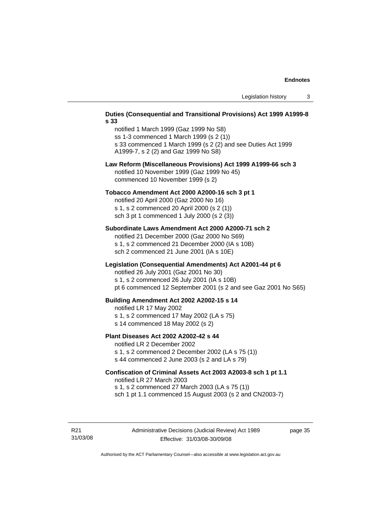#### **Duties (Consequential and Transitional Provisions) Act 1999 A1999-8 s 33**

notified 1 March 1999 (Gaz 1999 No S8) ss 1-3 commenced 1 March 1999 (s 2 (1)) s 33 commenced 1 March 1999 (s 2 (2) and see Duties Act 1999 A1999-7, s 2 (2) and Gaz 1999 No S8)

### **Law Reform (Miscellaneous Provisions) Act 1999 A1999-66 sch 3**  notified 10 November 1999 (Gaz 1999 No 45) commenced 10 November 1999 (s 2)

#### **Tobacco Amendment Act 2000 A2000-16 sch 3 pt 1**

notified 20 April 2000 (Gaz 2000 No 16) s 1, s 2 commenced 20 April 2000 (s 2 (1)) sch 3 pt 1 commenced 1 July 2000 (s 2 (3))

#### **Subordinate Laws Amendment Act 2000 A2000-71 sch 2**

notified 21 December 2000 (Gaz 2000 No S69) s 1, s 2 commenced 21 December 2000 (IA s 10B) sch 2 commenced 21 June 2001 (IA s 10E)

### **Legislation (Consequential Amendments) Act A2001-44 pt 6**

notified 26 July 2001 (Gaz 2001 No 30)

s 1, s 2 commenced 26 July 2001 (IA s 10B)

pt 6 commenced 12 September 2001 (s 2 and see Gaz 2001 No S65)

#### **Building Amendment Act 2002 A2002-15 s 14**

notified LR 17 May 2002

- s 1, s 2 commenced 17 May 2002 (LA s 75)
- s 14 commenced 18 May 2002 (s 2)

#### **Plant Diseases Act 2002 A2002-42 s 44**

notified LR 2 December 2002

s 1, s 2 commenced 2 December 2002 (LA s 75 (1)) s 44 commenced 2 June 2003 (s 2 and LA s 79)

## **Confiscation of Criminal Assets Act 2003 A2003-8 sch 1 pt 1.1**  notified LR 27 March 2003 s 1, s 2 commenced 27 March 2003 (LA s 75 (1))

sch 1 pt 1.1 commenced 15 August 2003 (s 2 and CN2003-7)

R21 31/03/08 page 35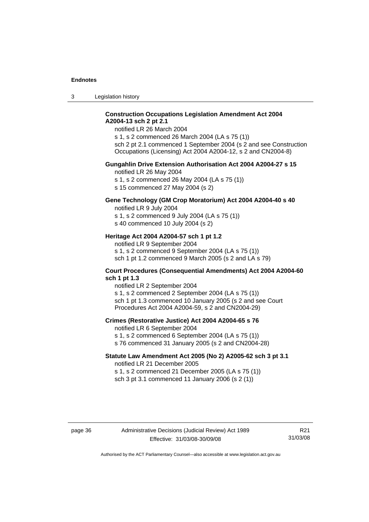3 Legislation history

## **Construction Occupations Legislation Amendment Act 2004 A2004-13 sch 2 pt 2.1**

notified LR 26 March 2004

s 1, s 2 commenced 26 March 2004 (LA s 75 (1)) sch 2 pt 2.1 commenced 1 September 2004 (s 2 and see Construction Occupations (Licensing) Act 2004 A2004-12, s 2 and CN2004-8)

### **Gungahlin Drive Extension Authorisation Act 2004 A2004-27 s 15**

notified LR 26 May 2004

s 1, s 2 commenced 26 May 2004 (LA s 75 (1))

s 15 commenced 27 May 2004 (s 2)

# **Gene Technology (GM Crop Moratorium) Act 2004 A2004-40 s 40**

notified LR 9 July 2004

s 1, s 2 commenced 9 July 2004 (LA s 75 (1)) s 40 commenced 10 July 2004 (s 2)

## **Heritage Act 2004 A2004-57 sch 1 pt 1.2**

notified LR 9 September 2004 s 1, s 2 commenced 9 September 2004 (LA s 75 (1)) sch 1 pt 1.2 commenced 9 March 2005 (s 2 and LA s 79)

#### **Court Procedures (Consequential Amendments) Act 2004 A2004-60 sch 1 pt 1.3**

notified LR 2 September 2004 s 1, s 2 commenced 2 September 2004 (LA s 75 (1)) sch 1 pt 1.3 commenced 10 January 2005 (s 2 and see Court Procedures Act 2004 A2004-59, s 2 and CN2004-29)

#### **Crimes (Restorative Justice) Act 2004 A2004-65 s 76**

notified LR 6 September 2004

- s 1, s 2 commenced 6 September 2004 (LA s 75 (1))
- s 76 commenced 31 January 2005 (s 2 and CN2004-28)

## **Statute Law Amendment Act 2005 (No 2) A2005-62 sch 3 pt 3.1**

notified LR 21 December 2005 s 1, s 2 commenced 21 December 2005 (LA s 75 (1)) sch 3 pt 3.1 commenced 11 January 2006 (s 2 (1))

R21 31/03/08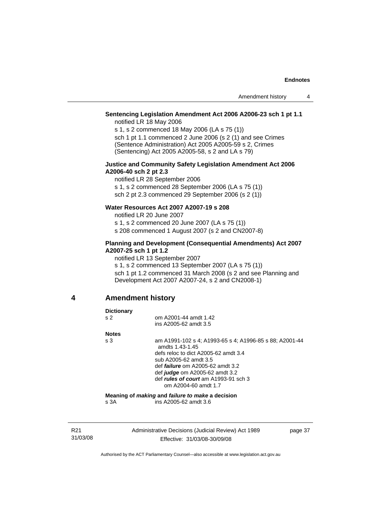## <span id="page-40-0"></span>**Sentencing Legislation Amendment Act 2006 A2006-23 sch 1 pt 1.1**

notified LR 18 May 2006

s 1, s 2 commenced 18 May 2006 (LA s 75 (1)) sch 1 pt 1.1 commenced 2 June 2006 (s 2 (1) and see Crimes (Sentence Administration) Act 2005 A2005-59 s 2, Crimes (Sentencing) Act 2005 A2005-58, s 2 and LA s 79)

#### **Justice and Community Safety Legislation Amendment Act 2006 A2006-40 sch 2 pt 2.3**

notified LR 28 September 2006 s 1, s 2 commenced 28 September 2006 (LA s 75 (1)) sch 2 pt 2.3 commenced 29 September 2006 (s 2 (1))

## **Water Resources Act 2007 A2007-19 s 208**

notified LR 20 June 2007

s 1, s 2 commenced 20 June 2007 (LA s 75 (1))

s 208 commenced 1 August 2007 (s 2 and CN2007-8)

## **Planning and Development (Consequential Amendments) Act 2007 A2007-25 sch 1 pt 1.2**

notified LR 13 September 2007

s 1, s 2 commenced 13 September 2007 (LA s 75 (1)) sch 1 pt 1.2 commenced 31 March 2008 (s 2 and see Planning and Development Act 2007 A2007-24, s 2 and CN2008-1)

#### **4 Amendment history**

### **Dictionary**  s 2 **om A2001-44 amdt 1.42**  ins A2005-62 amdt 3.5 **Notes**  s 3 am A1991-102 s 4; A1993-65 s 4; A1996-85 s 88; A2001-44 amdts 1.43-1.45 defs reloc to dict A2005-62 amdt 3.4 sub A2005-62 amdt 3.5 def *failure* om A2005-62 amdt 3.2 def *judge* om A2005-62 amdt 3.2 def *rules of court* am A1993-91 sch 3 om A2004-60 amdt 1.7 **Meaning of** *making* **and** *failure to make* **a decision**  s 3A ins A2005-62 amdt 3.6

R21 31/03/08 Administrative Decisions (Judicial Review) Act 1989 Effective: 31/03/08-30/09/08

page 37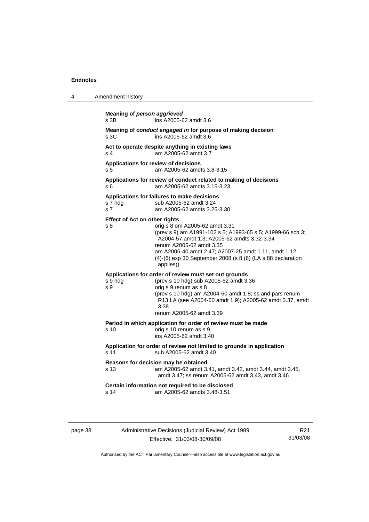| 4 | Amendment history                                                                                                                                                                                                                                                                                                                                          |  |  |
|---|------------------------------------------------------------------------------------------------------------------------------------------------------------------------------------------------------------------------------------------------------------------------------------------------------------------------------------------------------------|--|--|
|   | Meaning of person aggrieved<br>ins A2005-62 amdt 3.6<br>s 3B                                                                                                                                                                                                                                                                                               |  |  |
|   | Meaning of conduct engaged in for purpose of making decision<br>ins A2005-62 amdt 3.6<br>s 3C                                                                                                                                                                                                                                                              |  |  |
|   | Act to operate despite anything in existing laws<br>am A2005-62 amdt 3.7<br>s <sub>4</sub>                                                                                                                                                                                                                                                                 |  |  |
|   | Applications for review of decisions<br>s <sub>5</sub><br>am A2005-62 amdts 3.8-3.15                                                                                                                                                                                                                                                                       |  |  |
|   | Applications for review of conduct related to making of decisions<br>am A2005-62 amdts 3.16-3.23<br>s 6                                                                                                                                                                                                                                                    |  |  |
|   | Applications for failures to make decisions<br>s 7 hdg<br>sub A2005-62 amdt 3.24<br>s <sub>7</sub><br>am A2005-62 amdts 3.25-3.30                                                                                                                                                                                                                          |  |  |
|   | <b>Effect of Act on other rights</b><br>orig s 8 om A2005-62 amdt 3.31<br>s 8<br>(prev s 9) am A1991-102 s 5; A1993-65 s 5; A1999-66 sch 3;<br>A2004-57 amdt 1.3; A2005-62 amdts 3.32-3.34<br>renum A2005-62 amdt 3.35<br>am A2006-40 amdt 2.47; A2007-25 amdt 1.11, amdt 1.12<br>(4)-(6) exp 30 September 2008 (s 8 (6) (LA s 88 declaration<br>applies)) |  |  |
|   | Applications for order of review must set out grounds<br>(prev s 10 hdg) sub A2005-62 amdt 3.36<br>s 9 hdg<br>orig s 9 renum as s 8<br>s 9<br>(prev s 10 hdg) am A2004-60 amdt 1.8; ss and pars renum<br>R13 LA (see A2004-60 amdt 1.9); A2005-62 amdt 3.37, amdt<br>3.38<br>renum A2005-62 amdt 3.39                                                      |  |  |
|   | Period in which application for order of review must be made<br>s <sub>10</sub><br>orig s 10 renum as s 9<br>ins A2005-62 amdt 3.40                                                                                                                                                                                                                        |  |  |
|   | Application for order of review not limited to grounds in application<br>sub A2005-62 amdt 3.40<br>s 11                                                                                                                                                                                                                                                    |  |  |
|   | Reasons for decision may be obtained<br>s 13<br>am A2005-62 amdt 3.41, amdt 3.42, amdt 3.44, amdt 3.45,<br>amdt 3.47; ss renum A2005-62 amdt 3.43, amdt 3.46                                                                                                                                                                                               |  |  |
|   | Certain information not required to be disclosed<br>am A2005-62 amdts 3.48-3.51<br>s 14                                                                                                                                                                                                                                                                    |  |  |
|   |                                                                                                                                                                                                                                                                                                                                                            |  |  |

page 38 Administrative Decisions (Judicial Review) Act 1989 Effective: 31/03/08-30/09/08

R21 31/03/08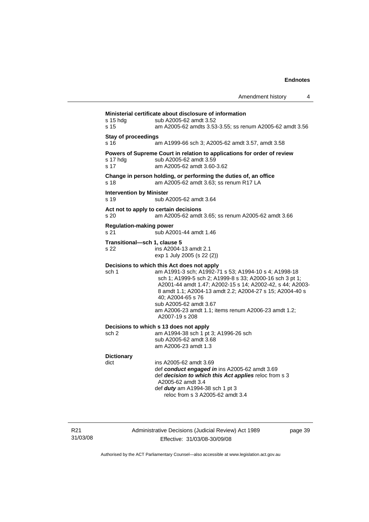|                                                                                                                                                                     |                                                                                                                                                                                                                                                                                                                                                                                                                   | Amendment history | 4 |
|---------------------------------------------------------------------------------------------------------------------------------------------------------------------|-------------------------------------------------------------------------------------------------------------------------------------------------------------------------------------------------------------------------------------------------------------------------------------------------------------------------------------------------------------------------------------------------------------------|-------------------|---|
| Ministerial certificate about disclosure of information<br>$s$ 15 hdg<br>sub A2005-62 amdt 3.52<br>s 15<br>am A2005-62 amdts 3.53-3.55; ss renum A2005-62 amdt 3.56 |                                                                                                                                                                                                                                                                                                                                                                                                                   |                   |   |
| <b>Stay of proceedings</b><br>s 16                                                                                                                                  | am A1999-66 sch 3; A2005-62 amdt 3.57, amdt 3.58                                                                                                                                                                                                                                                                                                                                                                  |                   |   |
| s 17 hdg<br>s 17                                                                                                                                                    | Powers of Supreme Court in relation to applications for order of review<br>sub A2005-62 amdt 3.59<br>am A2005-62 amdt 3.60-3.62                                                                                                                                                                                                                                                                                   |                   |   |
| s 18                                                                                                                                                                | Change in person holding, or performing the duties of, an office<br>am A2005-62 amdt 3.63; ss renum R17 LA                                                                                                                                                                                                                                                                                                        |                   |   |
| <b>Intervention by Minister</b><br>s 19                                                                                                                             | sub A2005-62 amdt 3.64                                                                                                                                                                                                                                                                                                                                                                                            |                   |   |
| s 20                                                                                                                                                                | Act not to apply to certain decisions<br>am A2005-62 amdt 3.65; ss renum A2005-62 amdt 3.66                                                                                                                                                                                                                                                                                                                       |                   |   |
| <b>Regulation-making power</b><br>s 21                                                                                                                              | sub A2001-44 amdt 1.46                                                                                                                                                                                                                                                                                                                                                                                            |                   |   |
| Transitional-sch 1, clause 5<br>s 22                                                                                                                                | ins A2004-13 amdt 2.1<br>exp 1 July 2005 (s 22 (2))                                                                                                                                                                                                                                                                                                                                                               |                   |   |
| sch 1                                                                                                                                                               | Decisions to which this Act does not apply<br>am A1991-3 sch; A1992-71 s 53; A1994-10 s 4; A1998-18<br>sch 1; A1999-5 sch 2; A1999-8 s 33; A2000-16 sch 3 pt 1;<br>A2001-44 amdt 1.47; A2002-15 s 14; A2002-42, s 44; A2003-<br>8 amdt 1.1; A2004-13 amdt 2.2; A2004-27 s 15; A2004-40 s<br>40: A2004-65 s 76<br>sub A2005-62 amdt 3.67<br>am A2006-23 amdt 1.1; items renum A2006-23 amdt 1.2;<br>A2007-19 s 208 |                   |   |
| sch 2                                                                                                                                                               | Decisions to which s 13 does not apply<br>am A1994-38 sch 1 pt 3; A1996-26 sch<br>sub A2005-62 amdt 3.68<br>am A2006-23 amdt 1.3                                                                                                                                                                                                                                                                                  |                   |   |
| <b>Dictionary</b><br>dict                                                                                                                                           | ins A2005-62 amdt 3.69<br>det conduct consequed in ise AQQQE CQ casdi Q CQ                                                                                                                                                                                                                                                                                                                                        |                   |   |

 def *conduct engaged in* ins A2005-62 amdt 3.69 def *decision to which this Act applies* reloc from s 3 A2005-62 amdt 3.4 def *duty* am A1994-38 sch 1 pt 3 reloc from s 3 A2005-62 amdt 3.4

R21 31/03/08 Administrative Decisions (Judicial Review) Act 1989 Effective: 31/03/08-30/09/08

page 39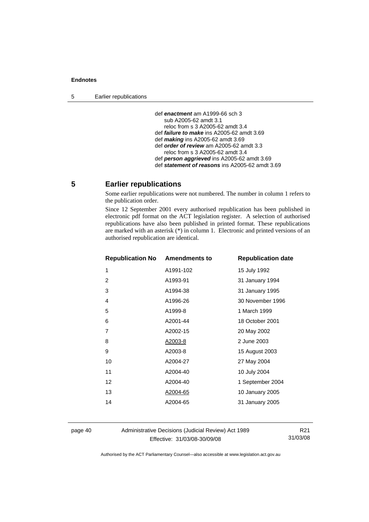<span id="page-43-0"></span>5 Earlier republications

 def *enactment* am A1999-66 sch 3 sub A2005-62 amdt 3.1 reloc from s 3 A2005-62 amdt 3.4 def *failure to make* ins A2005-62 amdt 3.69 def *making* ins A2005-62 amdt 3.69 def *order of review* am A2005-62 amdt 3.3 reloc from s 3 A2005-62 amdt 3.4 def *person aggrieved* ins A2005-62 amdt 3.69 def *statement of reasons* ins A2005-62 amdt 3.69

## **5 Earlier republications**

Some earlier republications were not numbered. The number in column 1 refers to the publication order.

Since 12 September 2001 every authorised republication has been published in electronic pdf format on the ACT legislation register. A selection of authorised republications have also been published in printed format. These republications are marked with an asterisk (\*) in column 1. Electronic and printed versions of an authorised republication are identical.

| <b>Republication No Amendments to</b> |           | <b>Republication date</b> |
|---------------------------------------|-----------|---------------------------|
| 1                                     | A1991-102 | 15 July 1992              |
| 2                                     | A1993-91  | 31 January 1994           |
| 3                                     | A1994-38  | 31 January 1995           |
| 4                                     | A1996-26  | 30 November 1996          |
| 5                                     | A1999-8   | 1 March 1999              |
| 6                                     | A2001-44  | 18 October 2001           |
| 7                                     | A2002-15  | 20 May 2002               |
| 8                                     | A2003-8   | 2 June 2003               |
| 9                                     | A2003-8   | 15 August 2003            |
| 10                                    | A2004-27  | 27 May 2004               |
| 11                                    | A2004-40  | 10 July 2004              |
| $12 \overline{ }$                     | A2004-40  | 1 September 2004          |
| 13                                    | A2004-65  | 10 January 2005           |
| 14                                    | A2004-65  | 31 January 2005           |
|                                       |           |                           |

page 40 Administrative Decisions (Judicial Review) Act 1989 Effective: 31/03/08-30/09/08

R21 31/03/08